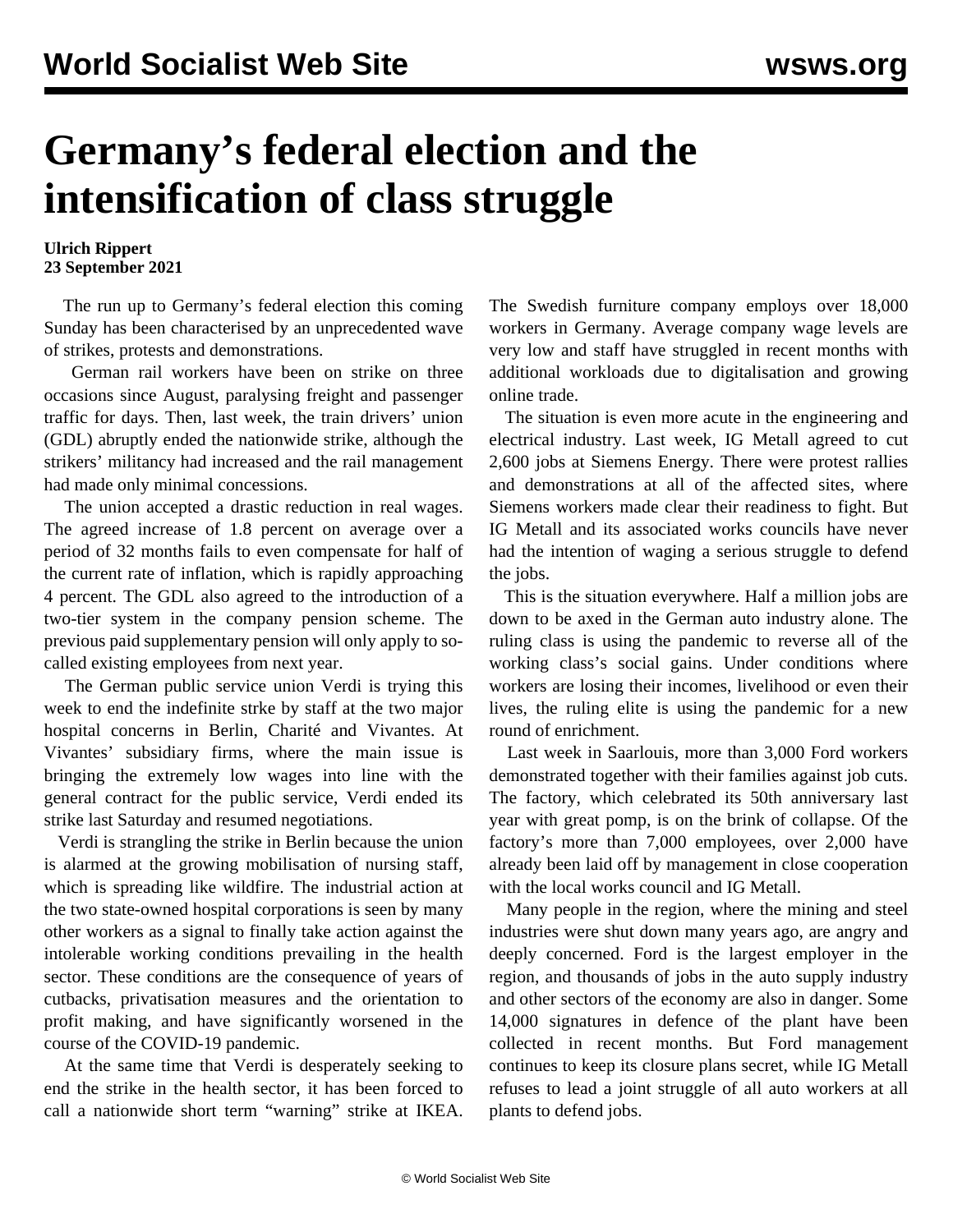## **Germany's federal election and the intensification of class struggle**

## **Ulrich Rippert 23 September 2021**

 The run up to Germany's federal election this coming Sunday has been characterised by an unprecedented wave of strikes, protests and demonstrations.

 German rail workers have been on strike on three occasions since August, paralysing freight and passenger traffic for days. Then, last week, the train drivers' union (GDL) abruptly ended the nationwide strike, although the strikers' militancy had increased and the rail management had made only minimal concessions.

 The union accepted a drastic reduction in real wages. The agreed increase of 1.8 percent on average over a period of 32 months fails to even compensate for half of the current rate of inflation, which is rapidly approaching 4 percent. The GDL also agreed to the introduction of a two-tier system in the company pension scheme. The previous paid supplementary pension will only apply to socalled existing employees from next year.

 The German public service union Verdi is trying this week to end the indefinite strke by staff at the two major hospital concerns in Berlin, Charité and Vivantes. At Vivantes' subsidiary firms, where the main issue is bringing the extremely low wages into line with the general contract for the public service, Verdi ended its strike last Saturday and resumed negotiations.

 Verdi is strangling the strike in Berlin because the union is alarmed at the growing mobilisation of nursing staff, which is spreading like wildfire. The industrial action at the two state-owned hospital corporations is seen by many other workers as a signal to finally take action against the intolerable working conditions prevailing in the health sector. These conditions are the consequence of years of cutbacks, privatisation measures and the orientation to profit making, and have significantly worsened in the course of the COVID-19 pandemic.

 At the same time that Verdi is desperately seeking to end the strike in the health sector, it has been forced to call a nationwide short term "warning" strike at IKEA.

The Swedish furniture company employs over 18,000 workers in Germany. Average company wage levels are very low and staff have struggled in recent months with additional workloads due to digitalisation and growing online trade.

 The situation is even more acute in the engineering and electrical industry. Last week, IG Metall agreed to cut 2,600 jobs at Siemens Energy. There were protest rallies and demonstrations at all of the affected sites, where Siemens workers made clear their readiness to fight. But IG Metall and its associated works councils have never had the intention of waging a serious struggle to defend the jobs.

 This is the situation everywhere. Half a million jobs are down to be axed in the German auto industry alone. The ruling class is using the pandemic to reverse all of the working class's social gains. Under conditions where workers are losing their incomes, livelihood or even their lives, the ruling elite is using the pandemic for a new round of enrichment.

 Last week in Saarlouis, more than 3,000 Ford workers demonstrated together with their families against job cuts. The factory, which celebrated its 50th anniversary last year with great pomp, is on the brink of collapse. Of the factory's more than 7,000 employees, over 2,000 have already been laid off by management in close cooperation with the local works council and IG Metall.

 Many people in the region, where the mining and steel industries were shut down many years ago, are angry and deeply concerned. Ford is the largest employer in the region, and thousands of jobs in the auto supply industry and other sectors of the economy are also in danger. Some 14,000 signatures in defence of the plant have been collected in recent months. But Ford management continues to keep its closure plans secret, while IG Metall refuses to lead a joint struggle of all auto workers at all plants to defend jobs.